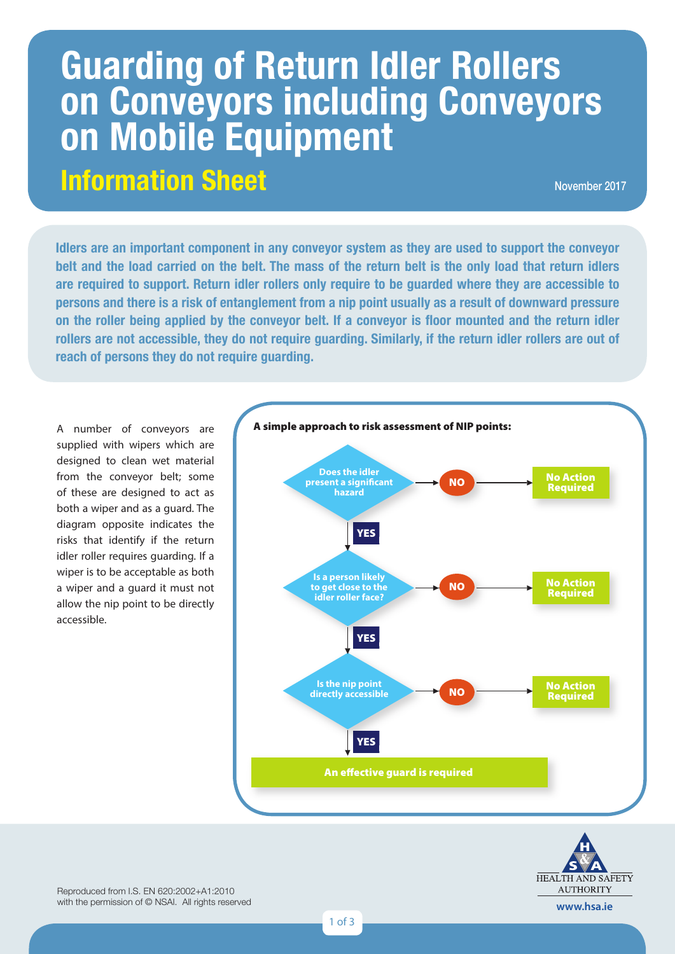# **Information Sheet Guarding of Return Idler Rollers on Conveyors including Conveyors on Mobile Equipment**

November 2017

**Idlers are an important component in any conveyor system as they are used to support the conveyor belt and the local country idlamate the helt. The mean of the vature helt is the enly lead that vature idlamate belt and the load carried on the belt. The mass of the return belt is the only load that return idlers are required to support. Return idler rollers only require to be guarded where they are accessible to 1 persons and there is a risk of entanglement from a nip point usually as a result of downward pressure on the roller being applied by the conveyor belt. If a conveyor is floor mounted and the return idler rollers are not accessible, they do not require guarding. Similarly, if the return idler rollers are out of reach of persons they do not require guarding.**

A number of conveyors are supplied with wipers which are designed to clean wet material from the conveyor belt; some of these are designed to act as both a wiper and as a guard. The diagram opposite indicates the risks that identify if the return idler roller requires guarding. If a wiper is to be acceptable as both a wiper and a guard it must not allow the nip point to be directly accessible.





Reproduced from I.S. EN 620:2002+A1:2010 with the permission of © NSAI. All rights reserved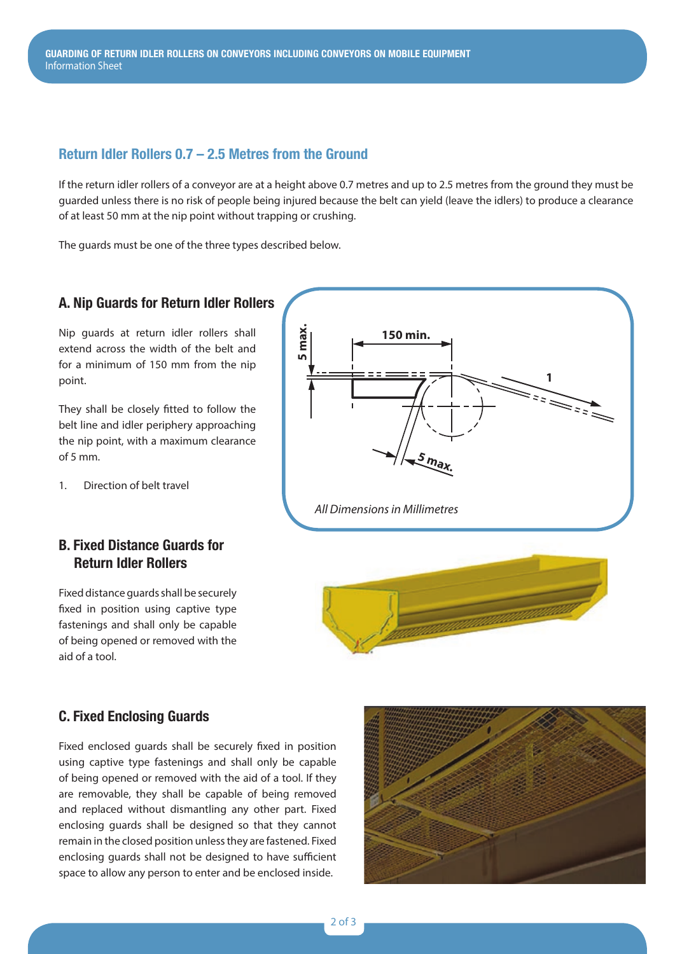# **Return Idler Rollers 0.7 – 2.5 Metres from the Ground**

If the return idler rollers of a conveyor are at a height above 0.7 metres and up to 2.5 metres from the ground they must be guarded unless there is no risk of people being injured because the belt can yield (leave the idlers) to produce a clearance of at least 50 mm at the nip point without trapping or crushing.

The guards must be one of the three types described below.

#### **A. Nip Guards for Return Idler Rollers**

Nip guards at return idler rollers shall extend across the width of the belt and for a minimum of 150 mm from the nip point.

They shall be closely fitted to follow the belt line and idler periphery approaching the nip point, with a maximum clearance of 5 mm.

1. Direction of belt travel

# **B. Fixed Distance Guards for Return Idler Rollers**

Fixed distance guards shall be securely fixed in position using captive type fastenings and shall only be capable of being opened or removed with the aid of a tool.





## **C. Fixed Enclosing Guards**

Fixed enclosed guards shall be securely fixed in position using captive type fastenings and shall only be capable of being opened or removed with the aid of a tool. If they are removable, they shall be capable of being removed and replaced without dismantling any other part. Fixed enclosing guards shall be designed so that they cannot remain in the closed position unless they are fastened. Fixed enclosing guards shall not be designed to have sufficient space to allow any person to enter and be enclosed inside.